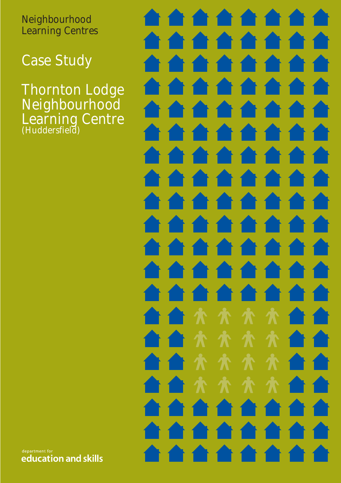Neighbourhood Learning Centres

## Case Study

Thornton Lodge Neighbourhood Learning Centre (Huddersfield)



department for education and skills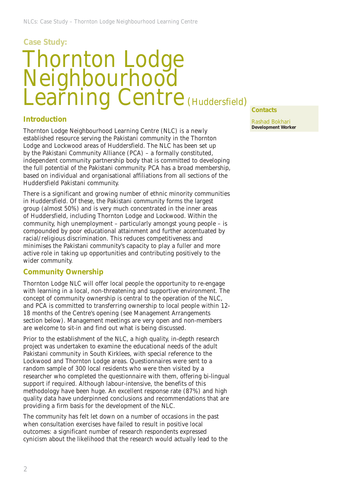# **Case Study:** Thornton Lodge Neighbourhood Learning Centre (Huddersfield)

### **Introduction**

Thornton Lodge Neighbourhood Learning Centre (NLC) is a newly established resource serving the Pakistani community in the Thornton Lodge and Lockwood areas of Huddersfield. The NLC has been set up by the Pakistani Community Alliance (PCA) – a formally constituted, independent community partnership body that is committed to developing the full potential of the Pakistani community. PCA has a broad membership, based on individual and organisational affiliations from all sections of the Huddersfield Pakistani community.

There is a significant and growing number of ethnic minority communities in Huddersfield. Of these, the Pakistani community forms the largest group (almost 50%) and is very much concentrated in the inner areas of Huddersfield, including Thornton Lodge and Lockwood. Within the community, high unemployment – particularly amongst young people – is compounded by poor educational attainment and further accentuated by racial/religious discrimination. This reduces competitiveness and minimises the Pakistani community's capacity to play a fuller and more active role in taking up opportunities and contributing positively to the wider community.

#### **Community Ownership**

Thornton Lodge NLC will offer local people the opportunity to re-engage with learning in a local, non-threatening and supportive environment. The concept of community ownership is central to the operation of the NLC, and PCA is committed to transferring ownership to local people within 12- 18 months of the Centre's opening (see Management Arrangements section below). Management meetings are very open and non-members are welcome to sit-in and find out what is being discussed.

Prior to the establishment of the NLC, a high quality, in-depth research project was undertaken to examine the educational needs of the adult Pakistani community in South Kirklees, with special reference to the Lockwood and Thornton Lodge areas. Questionnaires were sent to a random sample of 300 local residents who were then visited by a researcher who completed the questionnaire with them, offering bi-lingual support if required. Although labour-intensive, the benefits of this methodology have been huge. An excellent response rate (87%) and high quality data have underpinned conclusions and recommendations that are providing a firm basis for the development of the NLC.

The community has felt let down on a number of occasions in the past when consultation exercises have failed to result in positive local outcomes: a significant number of research respondents expressed cynicism about the likelihood that the research would actually lead to the

#### **Contacts**

Rashad Bokhari **Development Worker**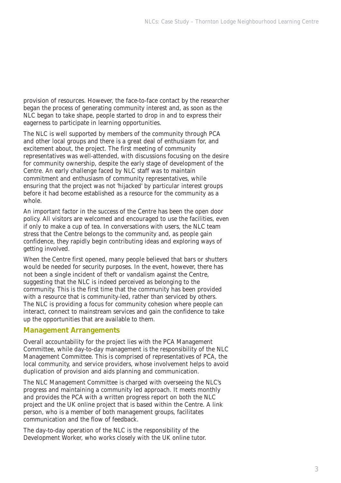provision of resources. However, the face-to-face contact by the researcher began the process of generating community interest and, as soon as the NLC began to take shape, people started to drop in and to express their eagerness to participate in learning opportunities.

The NLC is well supported by members of the community through PCA and other local groups and there is a great deal of enthusiasm for, and excitement about, the project. The first meeting of community representatives was well-attended, with discussions focusing on the desire for community ownership, despite the early stage of development of the Centre. An early challenge faced by NLC staff was to maintain commitment and enthusiasm of community representatives, while ensuring that the project was not 'hijacked' by particular interest groups before it had become established as a resource for the community as a whole.

An important factor in the success of the Centre has been the open door policy. All visitors are welcomed and encouraged to use the facilities, even if only to make a cup of tea. In conversations with users, the NLC team stress that the Centre belongs to the community and, as people gain confidence, they rapidly begin contributing ideas and exploring ways of getting involved.

When the Centre first opened, many people believed that bars or shutters would be needed for security purposes. In the event, however, there has not been a single incident of theft or vandalism against the Centre, suggesting that the NLC is indeed perceived as belonging to the community. This is the first time that the community has been provided with a resource that is community-led, rather than serviced by others. The NLC is providing a focus for community cohesion where people can interact, connect to mainstream services and gain the confidence to take up the opportunities that are available to them.

#### **Management Arrangements**

Overall accountability for the project lies with the PCA Management Committee, while day-to-day management is the responsibility of the NLC Management Committee. This is comprised of representatives of PCA, the local community, and service providers, whose involvement helps to avoid duplication of provision and aids planning and communication.

The NLC Management Committee is charged with overseeing the NLC's progress and maintaining a community led approach. It meets monthly and provides the PCA with a written progress report on both the NLC project and the UK online project that is based within the Centre. A link person, who is a member of both management groups, facilitates communication and the flow of feedback.

The day-to-day operation of the NLC is the responsibility of the Development Worker, who works closely with the UK online tutor.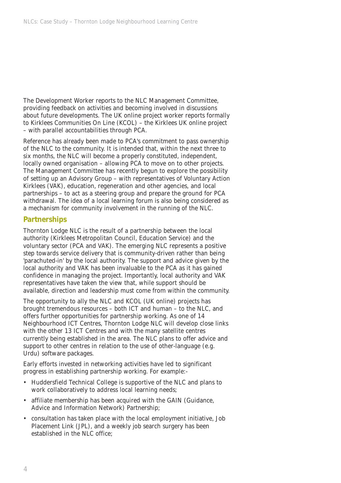The Development Worker reports to the NLC Management Committee, providing feedback on activities and becoming involved in discussions about future developments. The UK online project worker reports formally to Kirklees Communities On Line (KCOL) – the Kirklees UK online project – with parallel accountabilities through PCA.

Reference has already been made to PCA's commitment to pass ownership of the NLC to the community. It is intended that, within the next three to six months, the NLC will become a properly constituted, independent, locally owned organisation – allowing PCA to move on to other projects. The Management Committee has recently begun to explore the possibility of setting up an Advisory Group – with representatives of Voluntary Action Kirklees (VAK), education, regeneration and other agencies, and local partnerships – to act as a steering group and prepare the ground for PCA withdrawal. The idea of a local learning forum is also being considered as a mechanism for community involvement in the running of the NLC.

#### **Partnerships**

Thornton Lodge NLC is the result of a partnership between the local authority (Kirklees Metropolitan Council, Education Service) and the voluntary sector (PCA and VAK). The emerging NLC represents a positive step towards service delivery that is community-driven rather than being 'parachuted-in' by the local authority. The support and advice given by the local authority and VAK has been invaluable to the PCA as it has gained confidence in managing the project. Importantly, local authority and VAK representatives have taken the view that, while support should be available, direction and leadership must come from within the community.

The opportunity to ally the NLC and KCOL (UK online) projects has brought tremendous resources – both ICT and human – to the NLC, and offers further opportunities for partnership working. As one of 14 Neighbourhood ICT Centres, Thornton Lodge NLC will develop close links with the other 13 ICT Centres and with the many satellite centres currently being established in the area. The NLC plans to offer advice and support to other centres in relation to the use of other-language (e.g. Urdu) software packages.

Early efforts invested in networking activities have led to significant progress in establishing partnership working. For example:-

- Huddersfield Technical College is supportive of the NLC and plans to work collaboratively to address local learning needs;
- affiliate membership has been acquired with the GAIN (Guidance, Advice and Information Network) Partnership;
- consultation has taken place with the local employment initiative, Job Placement Link (JPL), and a weekly job search surgery has been established in the NLC office;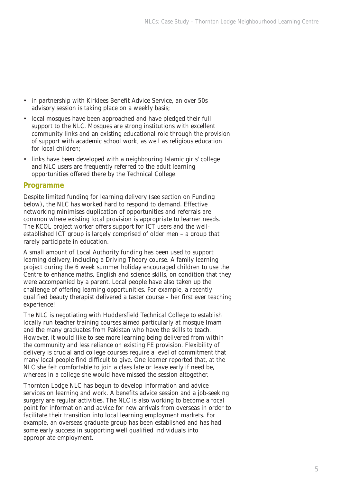- in partnership with Kirklees Benefit Advice Service, an over 50s advisory session is taking place on a weekly basis;
- local mosques have been approached and have pledged their full support to the NLC. Mosques are strong institutions with excellent community links and an existing educational role through the provision of support with academic school work, as well as religious education for local children;
- links have been developed with a neighbouring Islamic girls' college and NLC users are frequently referred to the adult learning opportunities offered there by the Technical College.

#### **Programme**

Despite limited funding for learning delivery (see section on Funding below), the NLC has worked hard to respond to demand. Effective networking minimises duplication of opportunities and referrals are common where existing local provision is appropriate to learner needs. The KCOL project worker offers support for ICT users and the wellestablished ICT group is largely comprised of older men – a group that rarely participate in education.

A small amount of Local Authority funding has been used to support learning delivery, including a Driving Theory course. A family learning project during the 6 week summer holiday encouraged children to use the Centre to enhance maths, English and science skills, on condition that they were accompanied by a parent. Local people have also taken up the challenge of offering learning opportunities. For example, a recently qualified beauty therapist delivered a taster course – her first ever teaching experience!

The NLC is negotiating with Huddersfield Technical College to establish locally run teacher training courses aimed particularly at mosque Imam and the many graduates from Pakistan who have the skills to teach. However, it would like to see more learning being delivered from within the community and less reliance on existing FE provision. Flexibility of delivery is crucial and college courses require a level of commitment that many local people find difficult to give. One learner reported that, at the NLC she felt comfortable to join a class late or leave early if need be, whereas in a college she would have missed the session altogether.

Thornton Lodge NLC has begun to develop information and advice services on learning and work. A benefits advice session and a job-seeking surgery are regular activities. The NLC is also working to become a focal point for information and advice for new arrivals from overseas in order to facilitate their transition into local learning employment markets. For example, an overseas graduate group has been established and has had some early success in supporting well qualified individuals into appropriate employment.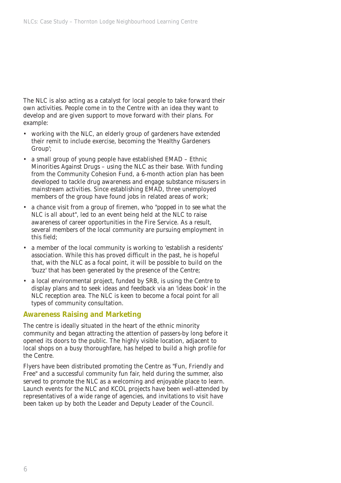The NLC is also acting as a catalyst for local people to take forward their own activities. People come in to the Centre with an idea they want to develop and are given support to move forward with their plans. For example:

- working with the NLC, an elderly group of gardeners have extended their remit to include exercise, becoming the 'Healthy Gardeners Group';
- a small group of young people have established EMAD Ethnic Minorities Against Drugs – using the NLC as their base. With funding from the Community Cohesion Fund, a 6-month action plan has been developed to tackle drug awareness and engage substance misusers in mainstream activities. Since establishing EMAD, three unemployed members of the group have found jobs in related areas of work;
- a chance visit from a group of firemen, who *"popped in to see what the NLC is all about"*, led to an event being held at the NLC to raise awareness of career opportunities in the Fire Service. As a result, several members of the local community are pursuing employment in this field;
- a member of the local community is working to 'establish a residents' association. While this has proved difficult in the past, he is hopeful that, with the NLC as a focal point, it will be possible to build on the 'buzz' that has been generated by the presence of the Centre;
- a local environmental project, funded by SRB, is using the Centre to display plans and to seek ideas and feedback via an 'ideas book' in the NLC reception area. The NLC is keen to become a focal point for all types of community consultation.

#### **Awareness Raising and Marketing**

The centre is ideally situated in the heart of the ethnic minority community and began attracting the attention of passers-by long before it opened its doors to the public. The highly visible location, adjacent to local shops on a busy thoroughfare, has helped to build a high profile for the Centre.

Flyers have been distributed promoting the Centre as "Fun, Friendly and Free" and a successful community fun fair, held during the summer, also served to promote the NLC as a welcoming and enjoyable place to learn. Launch events for the NLC and KCOL projects have been well-attended by representatives of a wide range of agencies, and invitations to visit have been taken up by both the Leader and Deputy Leader of the Council.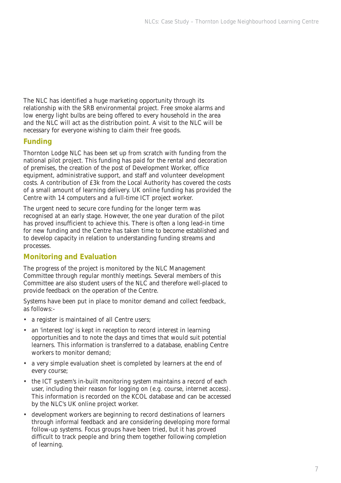The NLC has identified a huge marketing opportunity through its relationship with the SRB environmental project. Free smoke alarms and low energy light bulbs are being offered to every household in the area and the NLC will act as the distribution point. A visit to the NLC will be necessary for everyone wishing to claim their free goods.

#### **Funding**

Thornton Lodge NLC has been set up from scratch with funding from the national pilot project. This funding has paid for the rental and decoration of premises, the creation of the post of Development Worker, office equipment, administrative support, and staff and volunteer development costs. A contribution of £3k from the Local Authority has covered the costs of a small amount of learning delivery. UK online funding has provided the Centre with 14 computers and a full-time ICT project worker.

The urgent need to secure core funding for the longer term was recognised at an early stage. However, the one year duration of the pilot has proved insufficient to achieve this. There is often a long lead-in time for new funding and the Centre has taken time to become established and to develop capacity in relation to understanding funding streams and processes.

#### **Monitoring and Evaluation**

The progress of the project is monitored by the NLC Management Committee through regular monthly meetings. Several members of this Committee are also student users of the NLC and therefore well-placed to provide feedback on the operation of the Centre.

Systems have been put in place to monitor demand and collect feedback, as follows:-

- a register is maintained of all Centre users;
- an 'interest log' is kept in reception to record interest in learning opportunities and to note the days and times that would suit potential learners. This information is transferred to a database, enabling Centre workers to monitor demand;
- a very simple evaluation sheet is completed by learners at the end of every course;
- the ICT system's in-built monitoring system maintains a record of each user, including their reason for logging on (e.g. course, internet access). This information is recorded on the KCOL database and can be accessed by the NLC's UK online project worker.
- development workers are beginning to record destinations of learners through informal feedback and are considering developing more formal follow-up systems. Focus groups have been tried, but it has proved difficult to track people and bring them together following completion of learning.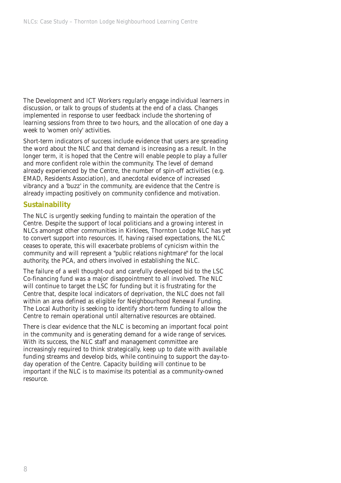The Development and ICT Workers regularly engage individual learners in discussion, or talk to groups of students at the end of a class. Changes implemented in response to user feedback include the shortening of learning sessions from three to two hours, and the allocation of one day a week to 'women only' activities.

Short-term indicators of success include evidence that users are spreading the word about the NLC and that demand is increasing as a result. In the longer term, it is hoped that the Centre will enable people to play a fuller and more confident role within the community. The level of demand already experienced by the Centre, the number of spin-off activities (e.g. EMAD, Residents Association), and anecdotal evidence of increased vibrancy and a 'buzz' in the community, are evidence that the Centre is already impacting positively on community confidence and motivation.

#### **Sustainability**

The NLC is urgently seeking funding to maintain the operation of the Centre. Despite the support of local politicians and a growing interest in NLCs amongst other communities in Kirklees, Thornton Lodge NLC has yet to convert support into resources. If, having raised expectations, the NLC ceases to operate, this will exacerbate problems of cynicism within the community and will represent a "*public relations nightmare*" for the local authority, the PCA, and others involved in establishing the NLC.

The failure of a well thought-out and carefully developed bid to the LSC Co-financing fund was a major disappointment to all involved. The NLC will continue to target the LSC for funding but it is frustrating for the Centre that, despite local indicators of deprivation, the NLC does not fall within an area defined as eligible for Neighbourhood Renewal Funding. The Local Authority is seeking to identify short-term funding to allow the Centre to remain operational until alternative resources are obtained.

There is clear evidence that the NLC is becoming an important focal point in the community and is generating demand for a wide range of services. With its success, the NLC staff and management committee are increasingly required to think strategically, keep up to date with available funding streams and develop bids, while continuing to support the day-today operation of the Centre. Capacity building will continue to be important if the NLC is to maximise its potential as a community-owned resource.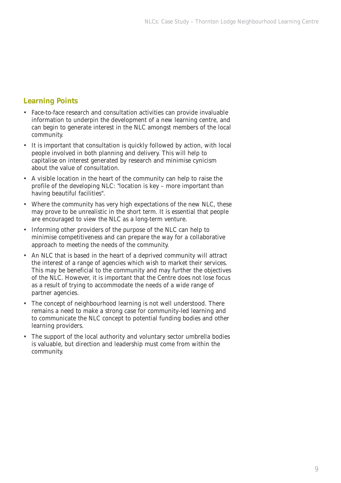## **Learning Points**

- Face-to-face research and consultation activities can provide invaluable information to underpin the development of a new learning centre, and can begin to generate interest in the NLC amongst members of the local community.
- It is important that consultation is quickly followed by action, with local people involved in both planning and delivery. This will help to capitalise on interest generated by research and minimise cynicism about the value of consultation.
- A visible location in the heart of the community can help to raise the profile of the developing NLC: "location is key – more important than having beautiful facilities".
- Where the community has very high expectations of the new NLC, these may prove to be unrealistic in the short term. It is essential that people are encouraged to view the NLC as a long-term venture.
- Informing other providers of the purpose of the NLC can help to minimise competitiveness and can prepare the way for a collaborative approach to meeting the needs of the community.
- An NLC that is based in the heart of a deprived community will attract the interest of a range of agencies which wish to market their services. This may be beneficial to the community and may further the objectives of the NLC. However, it is important that the Centre does not lose focus as a result of trying to accommodate the needs of a wide range of partner agencies.
- The concept of neighbourhood learning is not well understood. There remains a need to make a strong case for community-led learning and to communicate the NLC concept to potential funding bodies and other learning providers.
- The support of the local authority and voluntary sector umbrella bodies is valuable, but direction and leadership must come from within the community.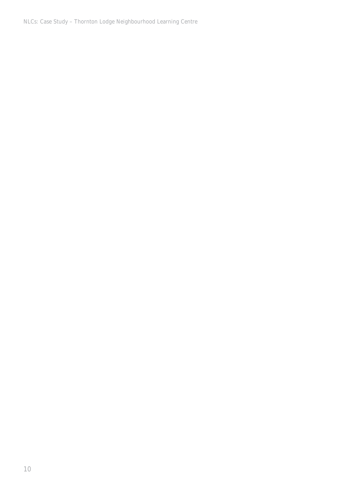NLCs: Case Study – Thornton Lodge Neighbourhood Learning Centre